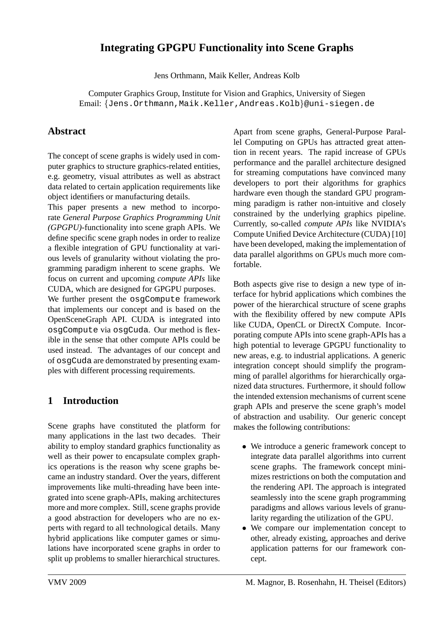# **Integrating GPGPU Functionality into Scene Graphs**

Jens Orthmann, Maik Keller, Andreas Kolb

Computer Graphics Group, Institute for Vision and Graphics, University of Siegen Email: {Jens.Orthmann,Maik.Keller,Andreas.Kolb}@uni-siegen.de

# **Abstract**

The concept of scene graphs is widely used in computer graphics to structure graphics-related entities, e.g. geometry, visual attributes as well as abstract data related to certain application requirements like object identifiers or manufacturing details.

This paper presents a new method to incorporate *General Purpose Graphics Programming Unit (GPGPU)*-functionality into scene graph APIs. We define specific scene graph nodes in order to realize a flexible integration of GPU functionality at various levels of granularity without violating the programming paradigm inherent to scene graphs. We focus on current and upcoming *compute APIs* like CUDA, which are designed for GPGPU purposes.

We further present the osgCompute framework that implements our concept and is based on the OpenSceneGraph API. CUDA is integrated into osgCompute via osgCuda. Our method is flexible in the sense that other compute APIs could be used instead. The advantages of our concept and of osgCuda are demonstrated by presenting examples with different processing requirements.

# **1 Introduction**

Scene graphs have constituted the platform for many applications in the last two decades. Their ability to employ standard graphics functionality as well as their power to encapsulate complex graphics operations is the reason why scene graphs became an industry standard. Over the years, different improvements like multi-threading have been integrated into scene graph-APIs, making architectures more and more complex. Still, scene graphs provide a good abstraction for developers who are no experts with regard to all technological details. Many hybrid applications like computer games or simulations have incorporated scene graphs in order to split up problems to smaller hierarchical structures.

Apart from scene graphs, General-Purpose Parallel Computing on GPUs has attracted great attention in recent years. The rapid increase of GPUs performance and the parallel architecture designed for streaming computations have convinced many developers to port their algorithms for graphics hardware even though the standard GPU programming paradigm is rather non-intuitive and closely constrained by the underlying graphics pipeline. Currently, so-called *compute APIs* like NVIDIA's Compute Unified Device Architecture (CUDA) [10] have been developed, making the implementation of data parallel algorithms on GPUs much more comfortable.

Both aspects give rise to design a new type of interface for hybrid applications which combines the power of the hierarchical structure of scene graphs with the flexibility offered by new compute APIs like CUDA, OpenCL or DirectX Compute. Incorporating compute APIs into scene graph-APIs has a high potential to leverage GPGPU functionality to new areas, e.g. to industrial applications. A generic integration concept should simplify the programming of parallel algorithms for hierarchically organized data structures. Furthermore, it should follow the intended extension mechanisms of current scene graph APIs and preserve the scene graph's model of abstraction and usability. Our generic concept makes the following contributions:

- We introduce a generic framework concept to integrate data parallel algorithms into current scene graphs. The framework concept minimizes restrictions on both the computation and the rendering API. The approach is integrated seamlessly into the scene graph programming paradigms and allows various levels of granularity regarding the utilization of the GPU.
- We compare our implementation concept to other, already existing, approaches and derive application patterns for our framework concept.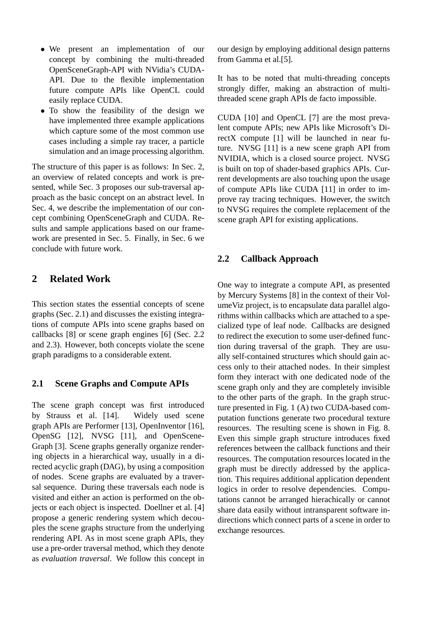- We present an implementation of our concept by combining the multi-threaded OpenSceneGraph-API with NVidia's CUDA-API. Due to the flexible implementation future compute APIs like OpenCL could easily replace CUDA.
- To show the feasibility of the design we have implemented three example applications which capture some of the most common use cases including a simple ray tracer, a particle simulation and an image processing algorithm.

The structure of this paper is as follows: In Sec. 2, an overview of related concepts and work is presented, while Sec. 3 proposes our sub-traversal approach as the basic concept on an abstract level. In Sec. 4, we describe the implementation of our concept combining OpenSceneGraph and CUDA. Results and sample applications based on our framework are presented in Sec. 5. Finally, in Sec. 6 we conclude with future work.

# **2 Related Work**

This section states the essential concepts of scene graphs (Sec. 2.1) and discusses the existing integrations of compute APIs into scene graphs based on callbacks [8] or scene graph engines [6] (Sec. 2.2 and 2.3). However, both concepts violate the scene graph paradigms to a considerable extent.

## **2.1 Scene Graphs and Compute APIs**

The scene graph concept was first introduced by Strauss et al. [14]. Widely used scene graph APIs are Performer [13], OpenInventor [16], OpenSG [12], NVSG [11], and OpenScene-Graph [3]. Scene graphs generally organize rendering objects in a hierarchical way, usually in a directed acyclic graph (DAG), by using a composition of nodes. Scene graphs are evaluated by a traversal sequence. During these traversals each node is visited and either an action is performed on the objects or each object is inspected. Doellner et al. [4] propose a generic rendering system which decouples the scene graphs structure from the underlying rendering API. As in most scene graph APIs, they use a pre-order traversal method, which they denote as *evaluation traversal*. We follow this concept in our design by employing additional design patterns from Gamma et al.[5].

It has to be noted that multi-threading concepts strongly differ, making an abstraction of multithreaded scene graph APIs de facto impossible.

CUDA [10] and OpenCL [7] are the most prevalent compute APIs; new APIs like Microsoft's DirectX compute [1] will be launched in near future. NVSG [11] is a new scene graph API from NVIDIA, which is a closed source project. NVSG is built on top of shader-based graphics APIs. Current developments are also touching upon the usage of compute APIs like CUDA [11] in order to improve ray tracing techniques. However, the switch to NVSG requires the complete replacement of the scene graph API for existing applications.

#### **2.2 Callback Approach**

One way to integrate a compute API, as presented by Mercury Systems [8] in the context of their VolumeViz project, is to encapsulate data parallel algorithms within callbacks which are attached to a specialized type of leaf node. Callbacks are designed to redirect the execution to some user-defined function during traversal of the graph. They are usually self-contained structures which should gain access only to their attached nodes. In their simplest form they interact with one dedicated node of the scene graph only and they are completely invisible to the other parts of the graph. In the graph structure presented in Fig. 1 (A) two CUDA-based computation functions generate two procedural texture resources. The resulting scene is shown in Fig. 8. Even this simple graph structure introduces fixed references between the callback functions and their resources. The computation resources located in the graph must be directly addressed by the application. This requires additional application dependent logics in order to resolve dependencies. Computations cannot be arranged hierachically or cannot share data easily without intransparent software indirections which connect parts of a scene in order to exchange resources.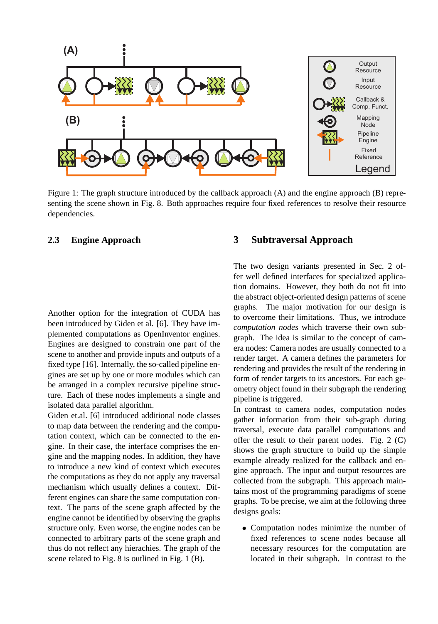

Figure 1: The graph structure introduced by the callback approach (A) and the engine approach (B) representing the scene shown in Fig. 8. Both approaches require four fixed references to resolve their resource dependencies.

## **2.3 Engine Approach**

Another option for the integration of CUDA has been introduced by Giden et al. [6]. They have implemented computations as OpenInventor engines. Engines are designed to constrain one part of the scene to another and provide inputs and outputs of a fixed type [16]. Internally, the so-called pipeline engines are set up by one or more modules which can be arranged in a complex recursive pipeline structure. Each of these nodes implements a single and isolated data parallel algorithm.

Giden et.al. [6] introduced additional node classes to map data between the rendering and the computation context, which can be connected to the engine. In their case, the interface comprises the engine and the mapping nodes. In addition, they have to introduce a new kind of context which executes the computations as they do not apply any traversal mechanism which usually defines a context. Different engines can share the same computation context. The parts of the scene graph affected by the engine cannot be identified by observing the graphs structure only. Even worse, the engine nodes can be connected to arbitrary parts of the scene graph and thus do not reflect any hierachies. The graph of the scene related to Fig. 8 is outlined in Fig. 1 (B).

## **3 Subtraversal Approach**

The two design variants presented in Sec. 2 offer well defined interfaces for specialized application domains. However, they both do not fit into the abstract object-oriented design patterns of scene graphs. The major motivation for our design is to overcome their limitations. Thus, we introduce *computation nodes* which traverse their own subgraph. The idea is similar to the concept of camera nodes: Camera nodes are usually connected to a render target. A camera defines the parameters for rendering and provides the result of the rendering in form of render targets to its ancestors. For each geometry object found in their subgraph the rendering pipeline is triggered.

In contrast to camera nodes, computation nodes gather information from their sub-graph during traversal, execute data parallel computations and offer the result to their parent nodes. Fig. 2 (C) shows the graph structure to build up the simple example already realized for the callback and engine approach. The input and output resources are collected from the subgraph. This approach maintains most of the programming paradigms of scene graphs. To be precise, we aim at the following three designs goals:

• Computation nodes minimize the number of fixed references to scene nodes because all necessary resources for the computation are located in their subgraph. In contrast to the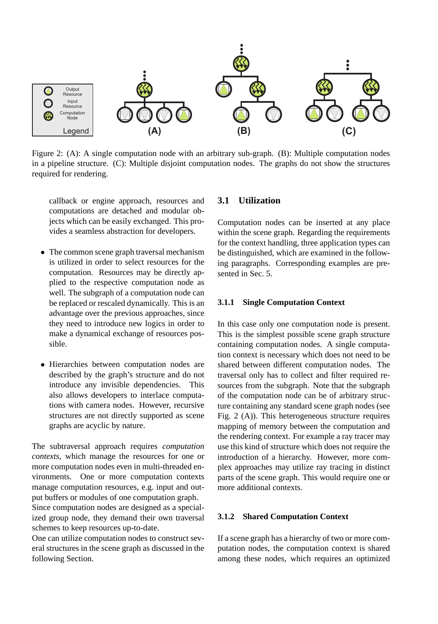

Figure 2: (A): A single computation node with an arbitrary sub-graph. (B): Multiple computation nodes in a pipeline structure. (C): Multiple disjoint computation nodes. The graphs do not show the structures required for rendering.

callback or engine approach, resources and computations are detached and modular objects which can be easily exchanged. This provides a seamless abstraction for developers.

- The common scene graph traversal mechanism is utilized in order to select resources for the computation. Resources may be directly applied to the respective computation node as well. The subgraph of a computation node can be replaced or rescaled dynamically. This is an advantage over the previous approaches, since they need to introduce new logics in order to make a dynamical exchange of resources possible.
- Hierarchies between computation nodes are described by the graph's structure and do not introduce any invisible dependencies. This also allows developers to interlace computations with camera nodes. However, recursive structures are not directly supported as scene graphs are acyclic by nature.

The subtraversal approach requires *computation contexts*, which manage the resources for one or more computation nodes even in multi-threaded environments. One or more computation contexts manage computation resources, e.g. input and output buffers or modules of one computation graph.

Since computation nodes are designed as a specialized group node, they demand their own traversal schemes to keep resources up-to-date.

One can utilize computation nodes to construct several structures in the scene graph as discussed in the following Section.

#### **3.1 Utilization**

Computation nodes can be inserted at any place within the scene graph. Regarding the requirements for the context handling, three application types can be distinguished, which are examined in the following paragraphs. Corresponding examples are presented in Sec. 5.

### **3.1.1 Single Computation Context**

In this case only one computation node is present. This is the simplest possible scene graph structure containing computation nodes. A single computation context is necessary which does not need to be shared between different computation nodes. The traversal only has to collect and filter required resources from the subgraph. Note that the subgraph of the computation node can be of arbitrary structure containing any standard scene graph nodes (see Fig. 2 (A)). This heterogeneous structure requires mapping of memory between the computation and the rendering context. For example a ray tracer may use this kind of structure which does not require the introduction of a hierarchy. However, more complex approaches may utilize ray tracing in distinct parts of the scene graph. This would require one or more additional contexts.

#### **3.1.2 Shared Computation Context**

If a scene graph has a hierarchy of two or more computation nodes, the computation context is shared among these nodes, which requires an optimized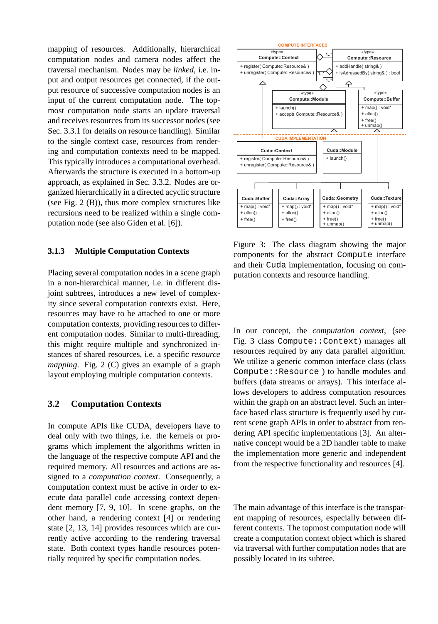mapping of resources. Additionally, hierarchical computation nodes and camera nodes affect the traversal mechanism. Nodes may be *linked*, i.e. input and output resources get connected, if the output resource of successive computation nodes is an input of the current computation node. The topmost computation node starts an update traversal and receives resources from its successor nodes (see Sec. 3.3.1 for details on resource handling). Similar to the single context case, resources from rendering and computation contexts need to be mapped. This typically introduces a computational overhead. Afterwards the structure is executed in a bottom-up approach, as explained in Sec. 3.3.2. Nodes are organized hierarchically in a directed acyclic structure (see Fig. 2 (B)), thus more complex structures like recursions need to be realized within a single computation node (see also Giden et al. [6]).

#### **3.1.3 Multiple Computation Contexts**

Placing several computation nodes in a scene graph in a non-hierarchical manner, i.e. in different disjoint subtrees, introduces a new level of complexity since several computation contexts exist. Here, resources may have to be attached to one or more computation contexts, providing resources to different computation nodes. Similar to multi-threading, this might require multiple and synchronized instances of shared resources, i.e. a specific *resource mapping*. Fig. 2 (C) gives an example of a graph layout employing multiple computation contexts.

#### **3.2 Computation Contexts**

In compute APIs like CUDA, developers have to deal only with two things, i.e. the kernels or programs which implement the algorithms written in the language of the respective compute API and the required memory. All resources and actions are assigned to a *computation context*. Consequently, a computation context must be active in order to execute data parallel code accessing context dependent memory [7, 9, 10]. In scene graphs, on the other hand, a rendering context [4] or rendering state [2, 13, 14] provides resources which are currently active according to the rendering traversal state. Both context types handle resources potentially required by specific computation nodes.



Figure 3: The class diagram showing the major components for the abstract Compute interface and their Cuda implementation, focusing on computation contexts and resource handling.

In our concept, the *computation context*, (see Fig. 3 class Compute::Context) manages all resources required by any data parallel algorithm. We utilize a generic common interface class (class Compute::Resource ) to handle modules and buffers (data streams or arrays). This interface allows developers to address computation resources within the graph on an abstract level. Such an interface based class structure is frequently used by current scene graph APIs in order to abstract from rendering API specific implementations [3]. An alternative concept would be a 2D handler table to make the implementation more generic and independent from the respective functionality and resources [4].

The main advantage of this interface is the transparent mapping of resources, especially between different contexts. The topmost computation node will create a computation context object which is shared via traversal with further computation nodes that are possibly located in its subtree.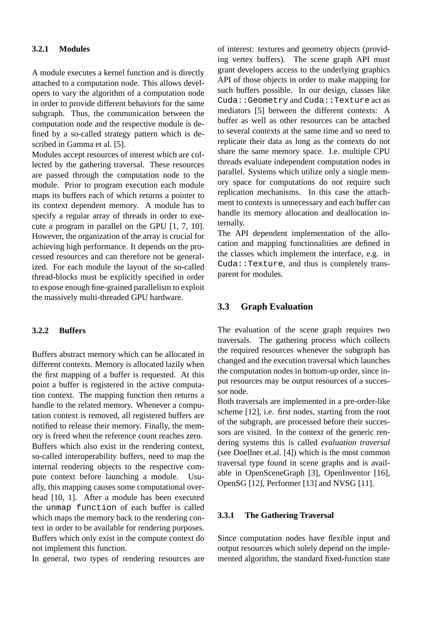#### **3.2.1 Modules**

A module executes a kernel function and is directly attached to a computation node. This allows developers to vary the algorithm of a computation node in order to provide different behaviors for the same subgraph. Thus, the communication between the computation node and the respective module is defined by a so-called strategy pattern which is described in Gamma et al. [5].

Modules accept resources of interest which are collected by the gathering traversal. These resources are passed through the computation node to the module. Prior to program execution each module maps its buffers each of which returns a pointer to its context dependent memory. A module has to specify a regular array of threads in order to execute a program in parallel on the GPU [1, 7, 10]. However, the organization of the array is crucial for achieving high performance. It depends on the processed resources and can therefore not be generalized. For each module the layout of the so-called thread-blocks must be explicitly specified in order to expose enough fine-grained parallelism to exploit the massively multi-threaded GPU hardware.

#### **3.2.2 Buffers**

Buffers abstract memory which can be allocated in different contexts. Memory is allocated lazily when the first mapping of a buffer is requested. At this point a buffer is registered in the active computation context. The mapping function then returns a handle to the related memory. Whenever a computation context is removed, all registered buffers are notified to release their memory. Finally, the memory is freed when the reference count reaches zero. Buffers which also exist in the rendering context, so-called interoperability buffers, need to map the internal rendering objects to the respective compute context before launching a module. Usually, this mapping causes some computational overhead [10, 1]. After a module has been executed the unmap function of each buffer is called which maps the memory back to the rendering context in order to be available for rendering purposes. Buffers which only exist in the compute context do not implement this function.

In general, two types of rendering resources are

of interest: textures and geometry objects (providing vertex buffers). The scene graph API must grant developers access to the underlying graphics API of those objects in order to make mapping for such buffers possible. In our design, classes like Cuda::Geometry and Cuda::Texture act as mediators [5] between the different contexts: A buffer as well as other resources can be attached to several contexts at the same time and so need to replicate their data as long as the contexts do not share the same memory space. I.e. multiple CPU threads evaluate independent computation nodes in parallel. Systems which utilize only a single memory space for computations do not require such replication mechanisms. In this case the attachment to contexts is unnecessary and each buffer can handle its memory allocation and deallocation internally.

The API dependent implementation of the allocation and mapping functionalities are defined in the classes which implement the interface, e.g. in Cuda::Texture, and thus is completely transparent for modules.

## **3.3 Graph Evaluation**

The evaluation of the scene graph requires two traversals. The gathering process which collects the required resources whenever the subgraph has changed and the execution traversal which launches the computation nodes in bottom-up order, since input resources may be output resources of a successor node.

Both traversals are implemented in a pre-order-like scheme [12], i.e. first nodes, starting from the root of the subgraph, are processed before their successors are visited. In the context of the generic rendering systems this is called *evaluation traversal* (see Doellner et.al. [4]) which is the most common traversal type found in scene graphs and is available in OpenSceneGraph [3], OpenInventor [16], OpenSG [12], Performer [13] and NVSG [11].

#### **3.3.1 The Gathering Traversal**

Since computation nodes have flexible input and output resources which solely depend on the implemented algorithm, the standard fixed-function state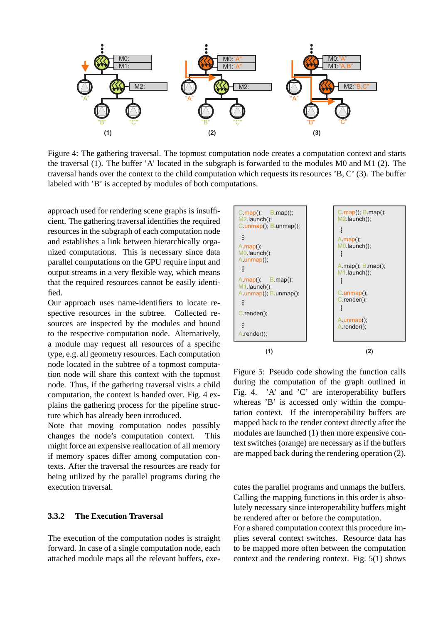

Figure 4: The gathering traversal. The topmost computation node creates a computation context and starts the traversal (1). The buffer 'A' located in the subgraph is forwarded to the modules M0 and M1 (2). The traversal hands over the context to the child computation which requests its resources 'B, C' (3). The buffer labeled with 'B' is accepted by modules of both computations.

approach used for rendering scene graphs is insufficient. The gathering traversal identifies the required resources in the subgraph of each computation node and establishes a link between hierarchically organized computations. This is necessary since data parallel computations on the GPU require input and output streams in a very flexible way, which means that the required resources cannot be easily identified.

Our approach uses name-identifiers to locate respective resources in the subtree. Collected resources are inspected by the modules and bound to the respective computation node. Alternatively, a module may request all resources of a specific type, e.g. all geometry resources. Each computation node located in the subtree of a topmost computation node will share this context with the topmost node. Thus, if the gathering traversal visits a child computation, the context is handed over. Fig. 4 explains the gathering process for the pipeline structure which has already been introduced.

Note that moving computation nodes possibly changes the node's computation context. This might force an expensive reallocation of all memory if memory spaces differ among computation contexts. After the traversal the resources are ready for being utilized by the parallel programs during the execution traversal.

#### **3.3.2 The Execution Traversal**

The execution of the computation nodes is straight forward. In case of a single computation node, each attached module maps all the relevant buffers, exe-



Figure 5: Pseudo code showing the function calls during the computation of the graph outlined in Fig. 4. 'A' and 'C' are interoperability buffers whereas 'B' is accessed only within the computation context. If the interoperability buffers are mapped back to the render context directly after the modules are launched (1) then more expensive context switches (orange) are necessary as if the buffers are mapped back during the rendering operation (2).

cutes the parallel programs and unmaps the buffers. Calling the mapping functions in this order is absolutely necessary since interoperability buffers might be rendered after or before the computation.

For a shared computation context this procedure implies several context switches. Resource data has to be mapped more often between the computation context and the rendering context. Fig. 5(1) shows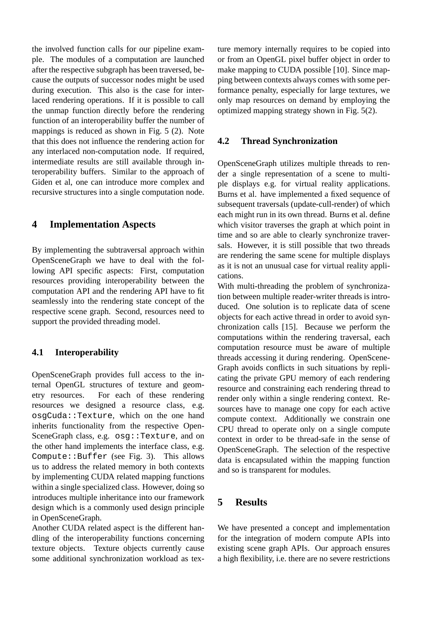the involved function calls for our pipeline example. The modules of a computation are launched after the respective subgraph has been traversed, because the outputs of successor nodes might be used during execution. This also is the case for interlaced rendering operations. If it is possible to call the unmap function directly before the rendering function of an interoperability buffer the number of mappings is reduced as shown in Fig. 5 (2). Note that this does not influence the rendering action for any interlaced non-computation node. If required, intermediate results are still available through interoperability buffers. Similar to the approach of Giden et al, one can introduce more complex and recursive structures into a single computation node.

## **4 Implementation Aspects**

By implementing the subtraversal approach within OpenSceneGraph we have to deal with the following API specific aspects: First, computation resources providing interoperability between the computation API and the rendering API have to fit seamlessly into the rendering state concept of the respective scene graph. Second, resources need to support the provided threading model.

## **4.1 Interoperability**

OpenSceneGraph provides full access to the internal OpenGL structures of texture and geometry resources. For each of these rendering resources we designed a resource class, e.g. osgCuda::Texture, which on the one hand inherits functionality from the respective Open-SceneGraph class, e.g. osg::Texture, and on the other hand implements the interface class, e.g. Compute::Buffer (see Fig. 3). This allows us to address the related memory in both contexts by implementing CUDA related mapping functions within a single specialized class. However, doing so introduces multiple inheritance into our framework design which is a commonly used design principle in OpenSceneGraph.

Another CUDA related aspect is the different handling of the interoperability functions concerning texture objects. Texture objects currently cause some additional synchronization workload as texture memory internally requires to be copied into or from an OpenGL pixel buffer object in order to make mapping to CUDA possible [10]. Since mapping between contexts always comes with some performance penalty, especially for large textures, we only map resources on demand by employing the optimized mapping strategy shown in Fig. 5(2).

## **4.2 Thread Synchronization**

OpenSceneGraph utilizes multiple threads to render a single representation of a scene to multiple displays e.g. for virtual reality applications. Burns et al. have implemented a fixed sequence of subsequent traversals (update-cull-render) of which each might run in its own thread. Burns et al. define which visitor traverses the graph at which point in time and so are able to clearly synchronize traversals. However, it is still possible that two threads are rendering the same scene for multiple displays as it is not an unusual case for virtual reality applications.

With multi-threading the problem of synchronization between multiple reader-writer threads is introduced. One solution is to replicate data of scene objects for each active thread in order to avoid synchronization calls [15]. Because we perform the computations within the rendering traversal, each computation resource must be aware of multiple threads accessing it during rendering. OpenScene-Graph avoids conflicts in such situations by replicating the private GPU memory of each rendering resource and constraining each rendering thread to render only within a single rendering context. Resources have to manage one copy for each active compute context. Additionally we constrain one CPU thread to operate only on a single compute context in order to be thread-safe in the sense of OpenSceneGraph. The selection of the respective data is encapsulated within the mapping function and so is transparent for modules.

# **5 Results**

We have presented a concept and implementation for the integration of modern compute APIs into existing scene graph APIs. Our approach ensures a high flexibility, i.e. there are no severe restrictions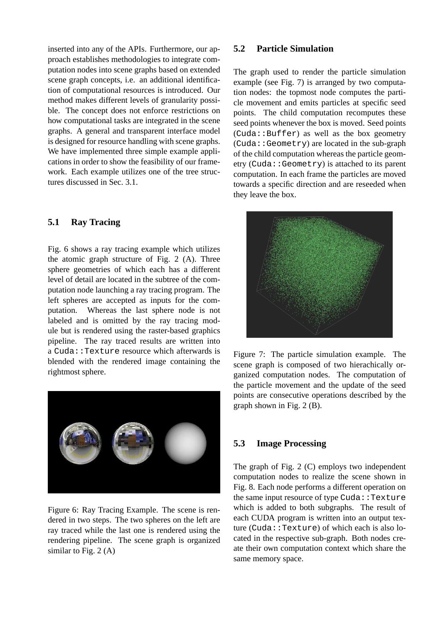inserted into any of the APIs. Furthermore, our approach establishes methodologies to integrate computation nodes into scene graphs based on extended scene graph concepts, i.e. an additional identification of computational resources is introduced. Our method makes different levels of granularity possible. The concept does not enforce restrictions on how computational tasks are integrated in the scene graphs. A general and transparent interface model is designed for resource handling with scene graphs. We have implemented three simple example applications in order to show the feasibility of our framework. Each example utilizes one of the tree structures discussed in Sec. 3.1.

## **5.1 Ray Tracing**

Fig. 6 shows a ray tracing example which utilizes the atomic graph structure of Fig. 2 (A). Three sphere geometries of which each has a different level of detail are located in the subtree of the computation node launching a ray tracing program. The left spheres are accepted as inputs for the computation. Whereas the last sphere node is not labeled and is omitted by the ray tracing module but is rendered using the raster-based graphics pipeline. The ray traced results are written into a Cuda::Texture resource which afterwards is blended with the rendered image containing the rightmost sphere.



Figure 6: Ray Tracing Example. The scene is rendered in two steps. The two spheres on the left are ray traced while the last one is rendered using the rendering pipeline. The scene graph is organized similar to Fig. 2 (A)

### **5.2 Particle Simulation**

The graph used to render the particle simulation example (see Fig. 7) is arranged by two computation nodes: the topmost node computes the particle movement and emits particles at specific seed points. The child computation recomputes these seed points whenever the box is moved. Seed points  $(Cuda::Buffer)$  as well as the box geometry (Cuda::Geometry) are located in the sub-graph of the child computation whereas the particle geometry (Cuda::Geometry) is attached to its parent computation. In each frame the particles are moved towards a specific direction and are reseeded when they leave the box.



Figure 7: The particle simulation example. The scene graph is composed of two hierachically organized computation nodes. The computation of the particle movement and the update of the seed points are consecutive operations described by the graph shown in Fig. 2 (B).

## **5.3 Image Processing**

The graph of Fig. 2 (C) employs two independent computation nodes to realize the scene shown in Fig. 8. Each node performs a different operation on the same input resource of type Cuda::Texture which is added to both subgraphs. The result of each CUDA program is written into an output texture (Cuda::Texture) of which each is also located in the respective sub-graph. Both nodes create their own computation context which share the same memory space.